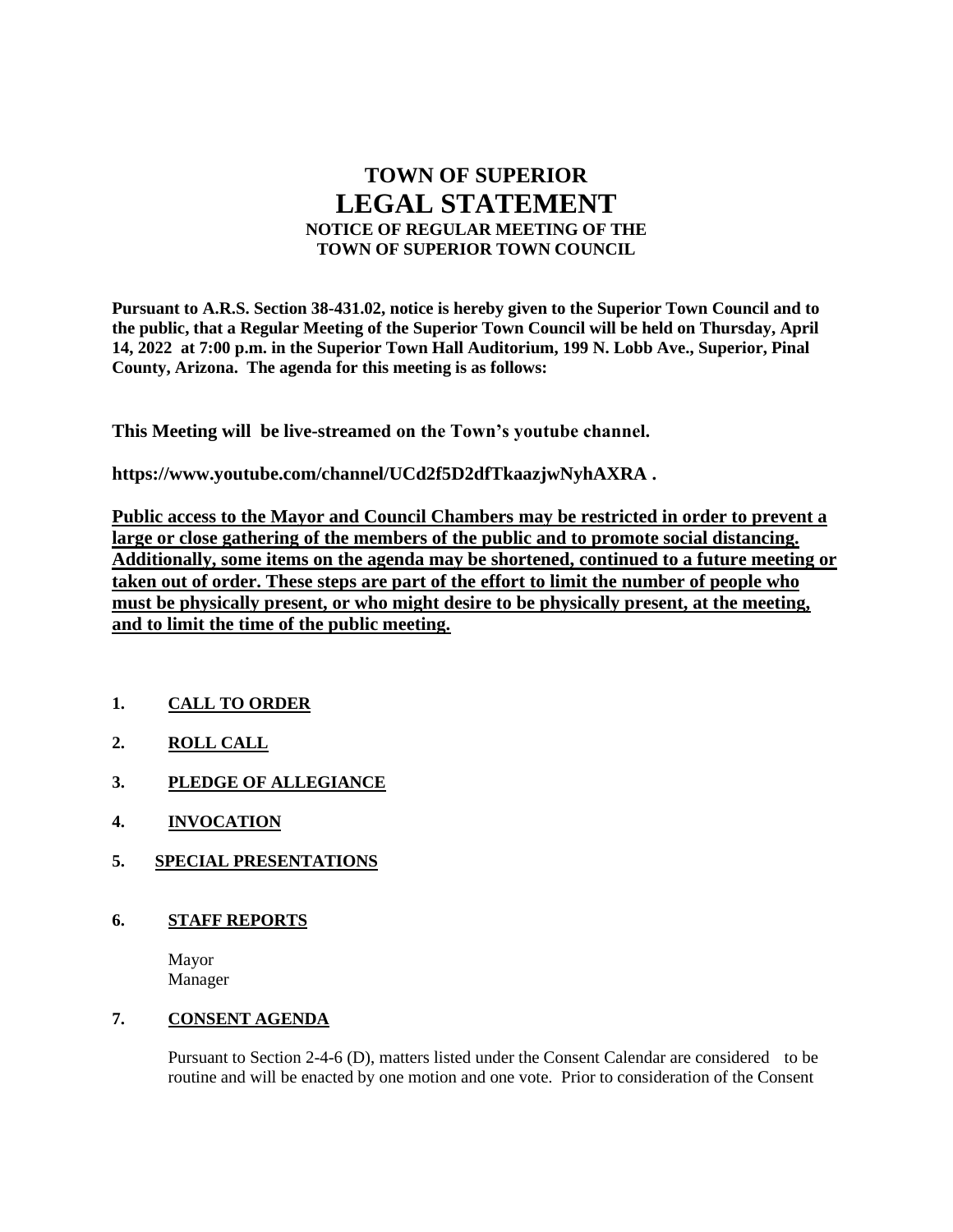# **TOWN OF SUPERIOR LEGAL STATEMENT NOTICE OF REGULAR MEETING OF THE TOWN OF SUPERIOR TOWN COUNCIL**

**Pursuant to A.R.S. Section 38-431.02, notice is hereby given to the Superior Town Council and to the public, that a Regular Meeting of the Superior Town Council will be held on Thursday, April 14, 2022 at 7:00 p.m. in the Superior Town Hall Auditorium, 199 N. Lobb Ave., Superior, Pinal County, Arizona. The agenda for this meeting is as follows:**

**This Meeting will be live-streamed on the Town's youtube channel.** 

**https://www.youtube.com/channel/UCd2f5D2dfTkaazjwNyhAXRA .** 

**Public access to the Mayor and Council Chambers may be restricted in order to prevent a large or close gathering of the members of the public and to promote social distancing. Additionally, some items on the agenda may be shortened, continued to a future meeting or taken out of order. These steps are part of the effort to limit the number of people who must be physically present, or who might desire to be physically present, at the meeting, and to limit the time of the public meeting.**

- **1. CALL TO ORDER**
- **2. ROLL CALL**
- **3. PLEDGE OF ALLEGIANCE**
- **4. INVOCATION**
- **5. SPECIAL PRESENTATIONS**
- **6. STAFF REPORTS**

Mayor Manager

# **7. CONSENT AGENDA**

Pursuant to Section 2-4-6 (D), matters listed under the Consent Calendar are considered to be routine and will be enacted by one motion and one vote. Prior to consideration of the Consent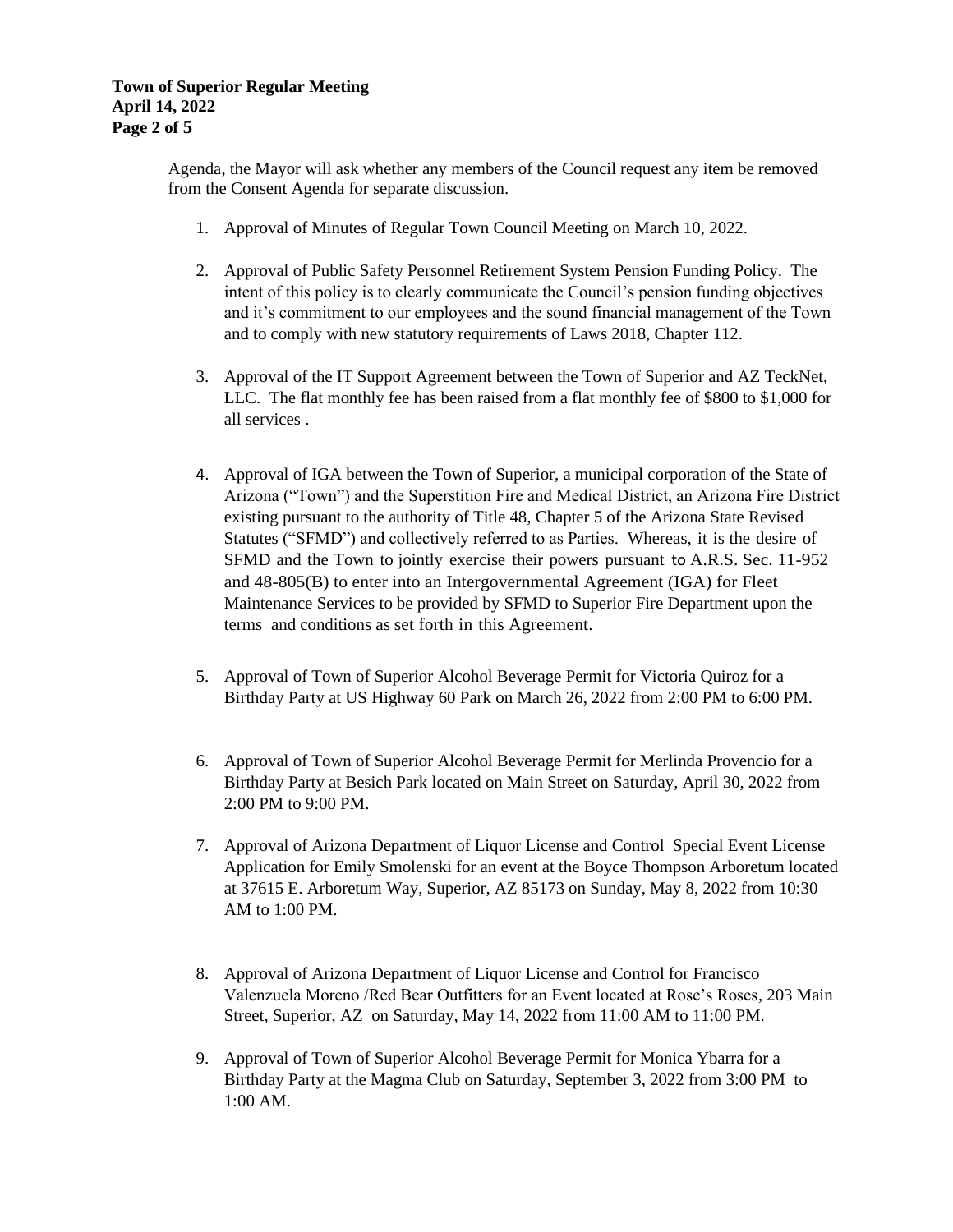## **Town of Superior Regular Meeting April 14, 2022 Page 2 of 5**

Agenda, the Mayor will ask whether any members of the Council request any item be removed from the Consent Agenda for separate discussion.

- 1. Approval of Minutes of Regular Town Council Meeting on March 10, 2022.
- 2. Approval of Public Safety Personnel Retirement System Pension Funding Policy. The intent of this policy is to clearly communicate the Council's pension funding objectives and it's commitment to our employees and the sound financial management of the Town and to comply with new statutory requirements of Laws 2018, Chapter 112.
- 3. Approval of the IT Support Agreement between the Town of Superior and AZ TeckNet, LLC. The flat monthly fee has been raised from a flat monthly fee of \$800 to \$1,000 for all services .
- 4. Approval of IGA between the Town of Superior, a municipal corporation of the State of Arizona ("Town") and the Superstition Fire and Medical District, an Arizona Fire District existing pursuant to the authority of Title 48, Chapter 5 of the Arizona State Revised Statutes ("SFMD") and collectively referred to as Parties. Whereas, it is the desire of SFMD and the Town to jointly exercise their powers pursuant to A.R.S. Sec. 11-952 and 48-805(B) to enter into an Intergovernmental Agreement (IGA) for Fleet Maintenance Services to be provided by SFMD to Superior Fire Department upon the terms and conditions as set forth in this Agreement.
- 5. Approval of Town of Superior Alcohol Beverage Permit for Victoria Quiroz for a Birthday Party at US Highway 60 Park on March 26, 2022 from 2:00 PM to 6:00 PM.
- 6. Approval of Town of Superior Alcohol Beverage Permit for Merlinda Provencio for a Birthday Party at Besich Park located on Main Street on Saturday, April 30, 2022 from 2:00 PM to 9:00 PM.
- 7. Approval of Arizona Department of Liquor License and Control Special Event License Application for Emily Smolenski for an event at the Boyce Thompson Arboretum located at 37615 E. Arboretum Way, Superior, AZ 85173 on Sunday, May 8, 2022 from 10:30 AM to 1:00 PM.
- 8. Approval of Arizona Department of Liquor License and Control for Francisco Valenzuela Moreno /Red Bear Outfitters for an Event located at Rose's Roses, 203 Main Street, Superior, AZ on Saturday, May 14, 2022 from 11:00 AM to 11:00 PM.
- 9. Approval of Town of Superior Alcohol Beverage Permit for Monica Ybarra for a Birthday Party at the Magma Club on Saturday, September 3, 2022 from 3:00 PM to 1:00 AM.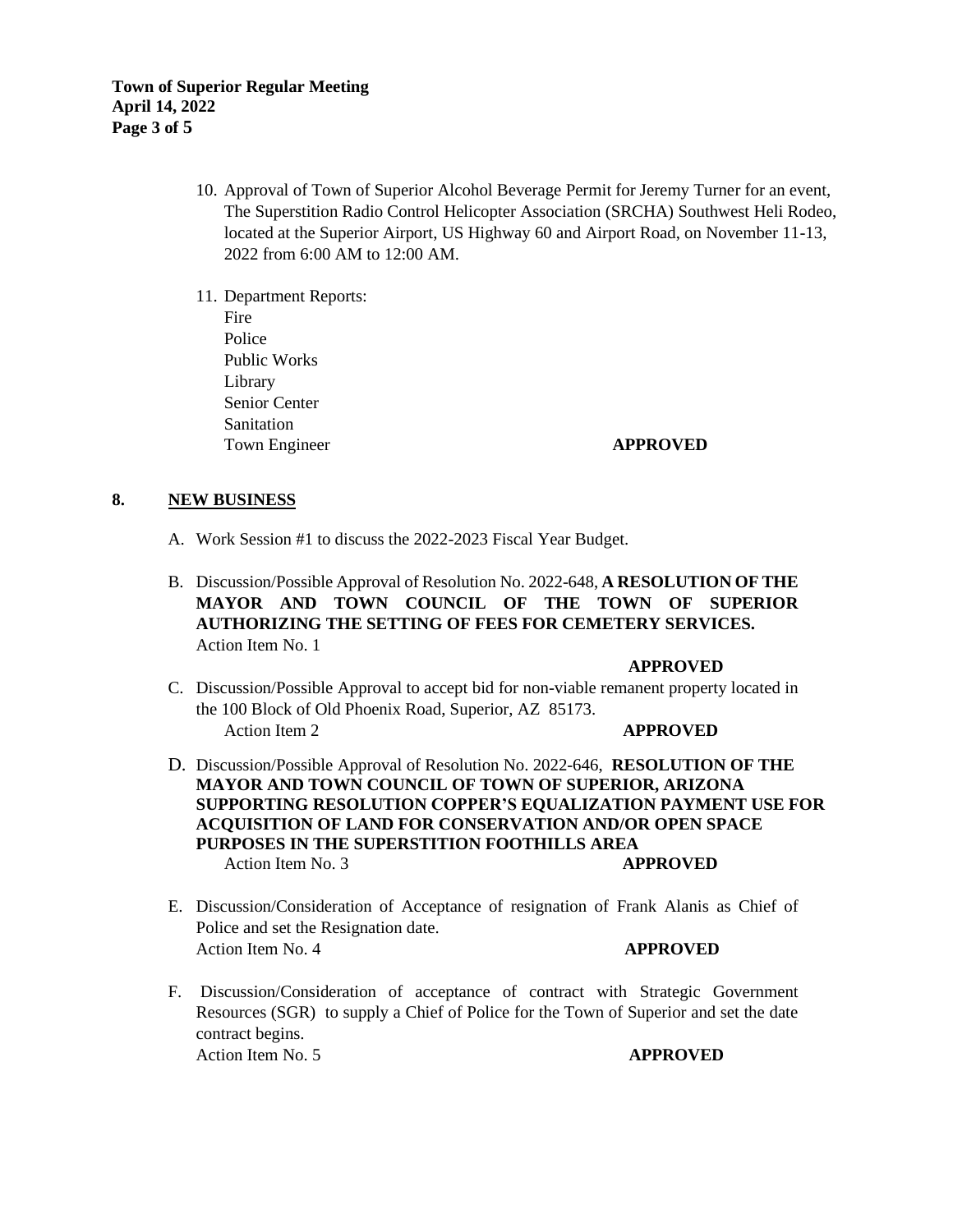**Town of Superior Regular Meeting April 14, 2022 Page 3 of 5**

- 10. Approval of Town of Superior Alcohol Beverage Permit for Jeremy Turner for an event, The Superstition Radio Control Helicopter Association (SRCHA) Southwest Heli Rodeo, located at the Superior Airport, US Highway 60 and Airport Road, on November 11-13, 2022 from 6:00 AM to 12:00 AM.
- 11. Department Reports: Fire Police Public Works Library Senior Center **Sanitation** Town Engineer **APPROVED**

### **8. NEW BUSINESS**

- A. Work Session #1 to discuss the 2022-2023 Fiscal Year Budget.
- B. Discussion/Possible Approval of Resolution No. 2022-648, **A RESOLUTION OF THE MAYOR AND TOWN COUNCIL OF THE TOWN OF SUPERIOR AUTHORIZING THE SETTING OF FEES FOR CEMETERY SERVICES.** Action Item No. 1

#### **APPROVED**

- C. Discussion/Possible Approval to accept bid for non-viable remanent property located in the 100 Block of Old Phoenix Road, Superior, AZ 85173. Action Item 2 **APPROVED**
- D. Discussion/Possible Approval of Resolution No. 2022-646, **RESOLUTION OF THE MAYOR AND TOWN COUNCIL OF TOWN OF SUPERIOR, ARIZONA SUPPORTING RESOLUTION COPPER'S EQUALIZATION PAYMENT USE FOR ACQUISITION OF LAND FOR CONSERVATION AND/OR OPEN SPACE PURPOSES IN THE SUPERSTITION FOOTHILLS AREA** Action Item No. 3 **APPROVED**
- E. Discussion/Consideration of Acceptance of resignation of Frank Alanis as Chief of Police and set the Resignation date. Action Item No. 4 **APPROVED**
- F. Discussion/Consideration of acceptance of contract with Strategic Government Resources (SGR) to supply a Chief of Police for the Town of Superior and set the date contract begins. Action Item No. 5 **APPROVED**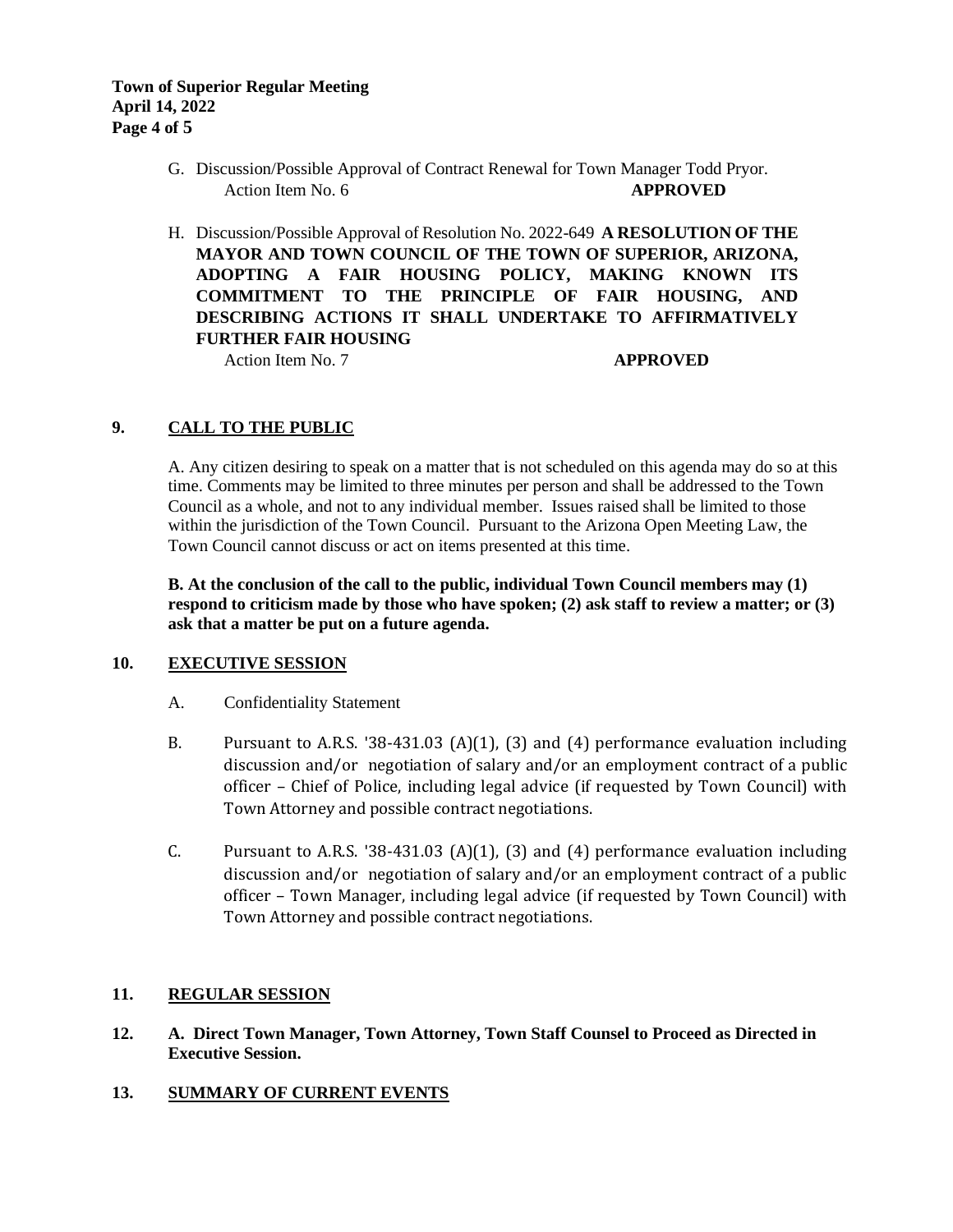- G. Discussion/Possible Approval of Contract Renewal for Town Manager Todd Pryor. Action Item No. 6 **APPROVED**
- H. Discussion/Possible Approval of Resolution No. 2022-649 **A RESOLUTION OF THE MAYOR AND TOWN COUNCIL OF THE TOWN OF SUPERIOR, ARIZONA, ADOPTING A FAIR HOUSING POLICY, MAKING KNOWN ITS COMMITMENT TO THE PRINCIPLE OF FAIR HOUSING, AND DESCRIBING ACTIONS IT SHALL UNDERTAKE TO AFFIRMATIVELY FURTHER FAIR HOUSING**

Action Item No. 7 **APPROVED** 

# **9. CALL TO THE PUBLIC**

A. Any citizen desiring to speak on a matter that is not scheduled on this agenda may do so at this time. Comments may be limited to three minutes per person and shall be addressed to the Town Council as a whole, and not to any individual member. Issues raised shall be limited to those within the jurisdiction of the Town Council. Pursuant to the Arizona Open Meeting Law, the Town Council cannot discuss or act on items presented at this time.

**B. At the conclusion of the call to the public, individual Town Council members may (1) respond to criticism made by those who have spoken; (2) ask staff to review a matter; or (3) ask that a matter be put on a future agenda.**

### **10. EXECUTIVE SESSION**

- A. Confidentiality Statement
- B. Pursuant to A.R.S. '38-431.03 (A)(1), (3) and (4) performance evaluation including discussion and/or negotiation of salary and/or an employment contract of a public officer – Chief of Police, including legal advice (if requested by Town Council) with Town Attorney and possible contract negotiations.
- C. Pursuant to A.R.S. '38-431.03 (A)(1), (3) and (4) performance evaluation including discussion and/or negotiation of salary and/or an employment contract of a public officer – Town Manager, including legal advice (if requested by Town Council) with Town Attorney and possible contract negotiations.

### **11. REGULAR SESSION**

- **12. A. Direct Town Manager, Town Attorney, Town Staff Counsel to Proceed as Directed in Executive Session.**
- **13. SUMMARY OF CURRENT EVENTS**